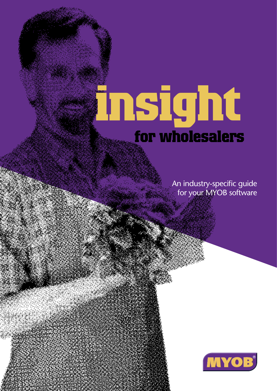# **insight for wholesalers**

An industry-specific guide for your MYOB software

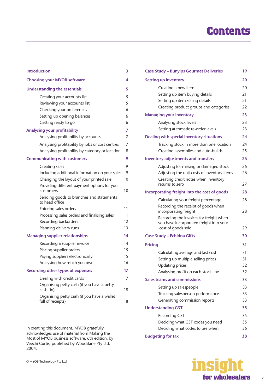# **Contents**

| <b>Introduction</b>                                              | 3  |
|------------------------------------------------------------------|----|
| <b>Choosing your MYOB software</b>                               | 4  |
| Understanding the essentials                                     | 5  |
| Creating your accounts list                                      | 5  |
| Reviewing your accounts list                                     | 5  |
| Checking your preferences                                        | 6  |
| Setting up opening balances                                      | 6  |
| Getting ready to go                                              | 6  |
| <b>Analysing your profitability</b>                              | 7  |
| Analysing profitability by accounts                              | 7  |
| Analysing profitability by jobs or cost centres                  | 7  |
| Analysing profitability by category or location                  | 8  |
| <b>Communicating with customers</b>                              | 9  |
| Creating sales                                                   | 9  |
| Including additional information on your sales                   | 9  |
| Changing the layout of your printed sale                         | 10 |
| Providing different payment options for your<br>customers        | 10 |
| Sending goods to branches and statements<br>to head office       | 11 |
| Entering sales orders                                            | 11 |
| Processing sales orders and finalising sales                     | 11 |
| Recording backorders                                             | 12 |
| Planning delivery runs                                           | 13 |
| <b>Managing supplier relationships</b>                           | 14 |
| Recording a supplier invoice                                     | 14 |
| Placing supplier orders                                          | 15 |
| Paying suppliers electronically                                  | 15 |
| Analysing how much you owe                                       | 16 |
| <b>Recording other types of expenses</b>                         | 17 |
| Dealing with credit cards                                        | 17 |
| Organising petty cash (if you have a petty<br>cash tin)          | 18 |
| Organising petty cash (if you have a wallet<br>full of receipts) | 18 |
|                                                                  |    |

In creating this document, MYOB gratefully acknowledges use of material from Making the Most of MYOB business software, 6th edition, by Veechi Curtis, published by Woodslane Pty Ltd, 2004.

| <b>Case Study – Bunyips Gourmet Deliveries</b>                                     | 19 |
|------------------------------------------------------------------------------------|----|
| <b>Setting up inventory</b>                                                        | 20 |
| Creating a new item                                                                | 20 |
| Setting up item buying details                                                     | 21 |
| Setting up item selling details                                                    | 21 |
| Creating product groups and categories                                             | 22 |
| <b>Managing your inventory</b>                                                     | 23 |
| Analysing stock levels                                                             | 23 |
| Setting automatic re-order levels                                                  | 23 |
| Dealing with special inventory situations                                          | 24 |
| Tracking stock in more than one location                                           | 24 |
| Creating assemblies and auto-builds                                                | 25 |
| <b>Inventory adjustments and transfers</b>                                         | 26 |
| Adjusting for missing or damaged stock                                             | 26 |
| Adjusting the unit costs of inventory items                                        | 26 |
| Creating credit notes when inventory<br>returns to zero                            | 27 |
| Incorporating freight into the cost of goods                                       | 28 |
| Calculating your freight percentage                                                | 28 |
| Recording the receipt of goods when<br>incorporating freight                       | 28 |
| Recording the invoices for freight when<br>you have incorporated freight into your |    |
| cost of goods sold                                                                 | 29 |
| <b>Case Study - Echidna Gifts</b>                                                  | 30 |
| <b>Pricing</b>                                                                     | 31 |
| Calculating average and last cost                                                  | 31 |
| Setting up multiple selling prices                                                 | 31 |
| <b>Updating prices</b>                                                             | 32 |
| Analysing profit on each stock line                                                | 32 |
| Sales teams and commissions                                                        | 33 |
| Setting up salespeople                                                             | 33 |
| Tracking salesperson performance                                                   | 33 |
| Generating commission reports                                                      | 33 |
| <b>Understanding GST</b>                                                           | 35 |
| <b>Recording GST</b>                                                               | 35 |
| Deciding what GST codes you need                                                   | 35 |
| Deciding what codes to use when                                                    | 36 |
| <b>Budgeting for tax</b>                                                           | 38 |

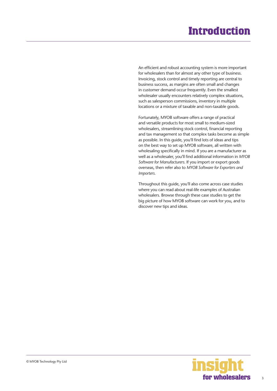# **Introduction**

<span id="page-2-0"></span>An efficient and robust accounting system is more important for wholesalers than for almost any other type of business. Invoicing, stock control and timely reporting are central to business success, as margins are often small and changes in customer demand occur frequently. Even the smallest wholesaler usually encounters relatively complex situations, such as salesperson commissions, inventory in multiple locations or a mixture of taxable and non-taxable goods.

Fortunately, MYOB software offers a range of practical and versatile products for most small to medium-sized wholesalers, streamlining stock control, financial reporting and tax management so that complex tasks become as simple as possible. In this guide, you'll find lots of ideas and tips on the best way to set up MYOB software, all written with wholesaling specifically in mind. If you are a manufacturer as well as a wholesaler, you'll find additional information in *MYOB Software for Manufacturers.* If you import or export goods overseas, then refer also to *MYOB Software for Exporters and Importers.* 

Throughout this guide, you'll also come across case studies where you can read about real-life examples of Australian wholesalers. Browse through these case studies to get the big picture of how MYOB software can work for you, and to discover new tips and ideas.

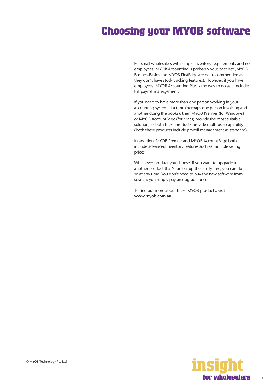# <span id="page-3-0"></span>**Choosing your MYOB software**

For small wholesalers with simple inventory requirements and no employees, MYOB Accounting is probably your best bet (MYOB BusinessBasics and MYOB FirstEdge are not recommended as they don't have stock tracking features). However, if you have employees, MYOB Accounting Plus is the way to go as it includes full payroll management.

If you need to have more than one person working in your accounting system at a time (perhaps one person invoicing and another doing the books), then MYOB Premier (for Windows) or MYOB AccountEdge (for Macs) provide the most suitable solution, as both these products provide multi-user capability (both these products include payroll management as standard).

In addition, MYOB Premier and MYOB AccountEdge both include advanced inventory features such as multiple selling prices.

Whichever product you choose, if you want to upgrade to another product that's further up the family tree, you can do so at any time. You don't need to buy the new software from scratch; you simply pay an upgrade price.

To find out more about these MYOB products, visit **www.myob.com.au** .



4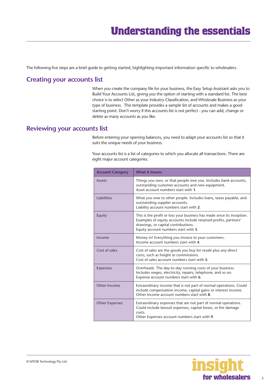<span id="page-4-0"></span>The following five steps are a brief guide to getting started, highlighting important information specific to wholesalers.

# **Creating your accounts list**

When you create the company file for your business, the Easy Setup Assistant asks you to Build Your Accounts List, giving you the option of starting with a standard list. The best choice is to select Other as your Industry Classification, and Wholesale Business as your type of business. This template provides a sample list of accounts and makes a good starting point. Don't worry if this accounts list is not perfect - you can add, change or delete as many accounts as you like.

# **Reviewing your accounts list**

Before entering your opening balances, you need to adapt your accounts list so that it suits the unique needs of your business.

Your accounts list is a list of categories to which you allocate all transactions. There are eight major account categories.

| <b>Account Category</b> | <b>What it means</b>                                                                                                                                                                                                     |
|-------------------------|--------------------------------------------------------------------------------------------------------------------------------------------------------------------------------------------------------------------------|
| Assets                  | Things you own, or that people owe you. Includes bank accounts,<br>outstanding customer accounts and new equipment.<br>Asset account numbers start with 1.                                                               |
| <b>Liabilities</b>      | What you owe to other people. Includes loans, taxes payable, and<br>outstanding supplier accounts.<br>Liability account numbers start with 2.                                                                            |
| Equity                  | This is the profit or loss your business has made since its inception.<br>Examples of equity accounts include retained profits, partners'<br>drawings, or capital contributions.<br>Equity account numbers start with 3. |
| Income                  | Money in! Everything you invoice to your customers.<br>Income account numbers start with 4.                                                                                                                              |
| Cost of sales           | Cost of sales are the goods you buy for resale plus any direct<br>costs, such as freight or commissions.<br>Cost of sales account numbers start with 5.                                                                  |
| <b>Expenses</b>         | Overheads. The day-to-day running costs of your business.<br>Includes wages, electricity, repairs, telephone, and so on.<br>Expense account numbers start with 6.                                                        |
| Other Income            | Extraordinary income that is not part of normal operations. Could<br>include compensation income, capital gains or interest income.<br>Other Income account numbers start with 8.                                        |
| <b>Other Expenses</b>   | Extraordinary expenses that are not part of normal operations.<br>Could include lawsuit expenses, capital losses, or fire damage<br>costs.<br>Other Expenses account numbers start with 9.                               |

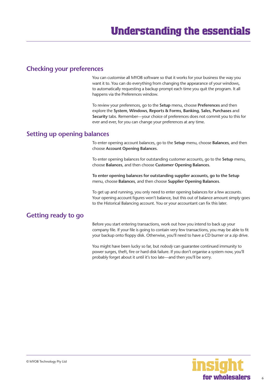# <span id="page-5-0"></span>**Checking your preferences**

You can customise all MYOB software so that it works for your business the way you want it to. You can do everything from changing the appearance of your windows, to automatically requesting a backup prompt each time you quit the program. It all happens via the Preferences window.

To review your preferences, go to the **Setup** menu, choose **Preferences** and then explore the **System**, **Windows**, **Reports & Forms**, **Banking**, **Sales**, **Purchases** and **Security** tabs. Remember—your choice of preferences does not commit you to this for ever and ever, for you can change your preferences at any time.

## **Setting up opening balances**

To enter opening account balances, go to the **Setup** menu, choose **Balances**, and then choose **Account Opening Balances**.

To enter opening balances for outstanding customer accounts, go to the **Setup** menu, choose **Balances**, and then choose **Customer Opening Balances.** 

**To enter opening balances for outstanding supplier accounts, go to the Setup**  menu, choose **Balances**, and then choose **Supplier Opening Balances**.

To get up and running, you only need to enter opening balances for a few accounts. Your opening account figures won't balance, but this out of balance amount simply goes to the Historical Balancing account. You or your accountant can fix this later.

## **Getting ready to go**

Before you start entering transactions, work out how you intend to back up your company file. If your file is going to contain very few transactions, you may be able to fit your backup onto floppy disk. Otherwise, you'll need to have a CD burner or a zip drive.

You might have been lucky so far, but *nobody* can guarantee continued immunity to power surges, theft, fire or hard disk failure. If you don't organise a system now, you'll probably forget about it until it's too late—and then you'll be sorry.

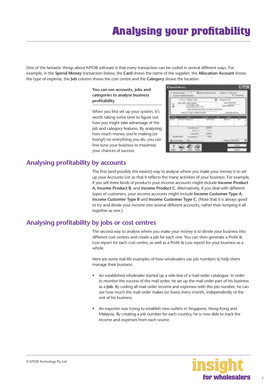<span id="page-6-0"></span>One of the fantastic things about MYOB software is that every transaction can be coded in several different ways. For example, in the **Spend Money** transaction below, the **Card** shows the name of the supplier; the **Allocation Account** shows the type of expense, the **Job** column shows the cost centre and the **Category** shows the location.

#### **You can use accounts, jobs and categories to analyse business profitability**

When you first set up your system, it's worth taking some time to figure out how you might take advantage of the job and category features. By analysing how much money you're making (or losing!) on everything you do, you can fine-tune your business to maximise your chances of success.

| ÷ |  |  |
|---|--|--|
|   |  |  |
|   |  |  |
|   |  |  |

# **Analysing profitability by accounts**

The first (and possibly the easiest) way to analyse where you make your money is to set up your Accounts List so that it reflects the many activities of your business. For example, if you sell three kinds of products your income accounts might include **Income Product A**, **Income Product B**, and **Income Product C**. Alternatively, if you deal with different types of customers, your income accounts might include **Income Customer Type A**, **Income Customer Type B** and **Income Customer Type C**. (Note that it is always good to try and divide your income into several different accounts, rather than lumping it all together as one.)

# **Analysing profitability by jobs or cost centres**

The second way to analyse where you make your money is to divide your business into different cost centres and create a job for each one. You can then generate a Profit & Loss report for each cost centre, as well as a Profit & Loss report for your business as a whole.

Here are some real-life examples of how wholesalers use job numbers to help them manage their business:

- An established wholesaler started up a side-line of a mail order catalogue. In order to monitor the success of the mail order, he set up the mail order part of his business as a **Job.** By coding all mail order income and expenses with this job number, he can see how much the mail order makes (or loses) every month, independently of the rest of his business.
- An exporter was trying to establish new outlets in Singapore, Hong Kong and Malaysia. By creating a job number for each country, he is now able to track the income and expenses from each source.

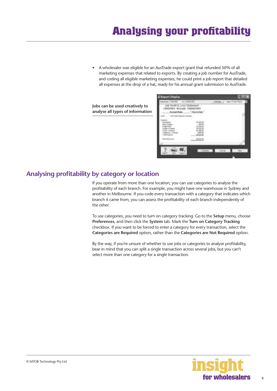<span id="page-7-0"></span>• A wholesaler was eligible for an AusTrade export grant that refunded 50% of all marketing expenses that related to exports. By creating a job number for AusTrade, and coding all eligible marketing expenses, he could print a job report that detailed all expenses at the drop of a hat, ready for his annual grant submission to AusTrade.

**Jobs can be used creatively to analyse all types of information**

| within Gilberton - Furniture<br>July Prvs | Treasured.<br><b>AVIDA</b> |         |   |  |
|-------------------------------------------|----------------------------|---------|---|--|
|                                           |                            |         |   |  |
|                                           |                            |         |   |  |
|                                           |                            |         |   |  |
|                                           | Linear 11                  | - Tares | ٠ |  |

# **Analysing profitability by category or location**

If you operate from more than one location, you can use categories to analyse the profitability of each branch. For example, you might have one warehouse in Sydney and another in Melbourne. If you code every transaction with a category that indicates which branch it came from, you can assess the profitability of each branch independently of the other.

To use categories, you need to turn on category tracking. Go to the **Setup** menu, choose **Preferences**, and then click the **System** tab. Mark the **Turn on Category Tracking**  checkbox. If you want to be forced to enter a category for every transaction, select the **Categories are Required** option, rather than the **Categories are Not Required** option.

By the way, if you're unsure of whether to use jobs or categories to analyse profitability, bear in mind that you can split a single transaction across several jobs, but you can't select more than one category for a single transaction.

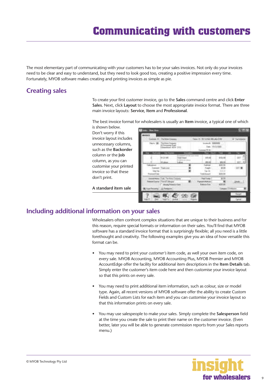# **Communicating with customers**

<span id="page-8-0"></span>The most elementary part of communicating with your customers has to be your sales invoices. Not only do your invoices need to be clear and easy to understand, but they need to look good too, creating a positive impression every time. Fortunately, MYOB software makes creating and printing invoices as simple as pie.

# **Creating sales**

To create your first customer invoice, go to the **Sales** command centre and click **Enter Sales.** Next, click **Layout** to choose the most appropriate invoice format. There are three main invoice layouts: **Service**, **Item** and **Professional**.

The best invoice format for wholesalers is usually an **Item** invoice, a typical one of which  $is sh$ 

| is snown below.                                 |  |  |  |  |
|-------------------------------------------------|--|--|--|--|
| Don't worry if this                             |  |  |  |  |
| invoice layout includes                         |  |  |  |  |
| unnecessary columns,                            |  |  |  |  |
| such as the <b>Backorder</b>                    |  |  |  |  |
| column or the <b>Job</b>                        |  |  |  |  |
| column, as you can                              |  |  |  |  |
| customise your printed<br>invoice so that these |  |  |  |  |
| don't print.                                    |  |  |  |  |
| A standard item sale                            |  |  |  |  |

## **Including additional information on your sales**

Wholesalers often confront complex situations that are unique to their business and for this reason, require special formats or information on their sales. You'll find that MYOB software has a standard invoice format that is surprisingly flexible; all you need is a little forethought and creativity. The following examples give you an idea of how versatile this format can be.

- You may need to print your *customer's* item code, as well your own item code, on every sale. MYOB Accounting, MYOB Accounting Plus, MYOB Premier and MYOB AccountEdge offer the facility for additional item descriptions in the **Item Details** tab. Simply enter the customer's item code here and then customise your invoice layout so that this prints on every sale.
- You may need to print additional item information, such as colour, size or model type. Again, all recent versions of MYOB software offer the ability to create Custom Fields and Custom Lists for each item and you can customise your invoice layout so that this information prints on every sale.
- You may use salespeople to make your sales. Simply complete the **Salesperson** field at the time you create the sale to print their name on the customer invoice. (Even better, later you will be able to generate commission reports from your Sales reports menu.)

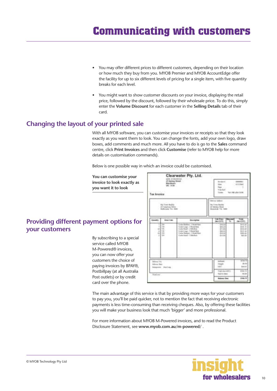- <span id="page-9-0"></span>• You may offer different prices to different customers, depending on their location or how much they buy from you. MYOB Premier and MYOB AccountEdge offer the facility for up to six different levels of pricing for a single item, with five quantity breaks for each level.
- You might want to show customer discounts on your invoice, displaying the retail price, followed by the discount, followed by their wholesale price. To do this, simply enter the **Volume Discount** for each customer in the **Selling Details** tab of their card.

# **Changing the layout of your printed sale**

With all MYOB software, you can customise your invoices or receipts so that they look exactly as you want them to look. You can change the fonts, add your own logo, draw boxes, add comments and much more. All you have to do is go to the **Sales** command centre, click **Print Invoices** and then click **Customise** (refer to MYOB help for more details on customisation commands).

Below is one possible way in which an invoice could be customised.

**You can customise your invoice to look exactly as you want it to look**

| <b>CAR EXPORTED</b><br>Tax Inverter         | ARA ITIMARAJI /<br>yt lienny tinen.<br>Machiner<br>Will 14 W                          | Clearwater Pty, Ltd.                                                                                                                                        | <b>Monday of</b><br><b>Size</b><br>Page 21<br><b>Train Built</b><br>Transport               |                                              | $-422700$<br>「一つ」「後<br>The 198 she to m                                                               |
|---------------------------------------------|---------------------------------------------------------------------------------------|-------------------------------------------------------------------------------------------------------------------------------------------------------------|---------------------------------------------------------------------------------------------|----------------------------------------------|-------------------------------------------------------------------------------------------------------|
|                                             | ED ERROR<br>19.0 Triand Mount of<br>And of adaptacks Fillman<br>- Blakenama 111, 1980 |                                                                                                                                                             | <b>Sixty without</b><br>big 4 may \$6,6000<br>of blenting blood<br><b>Maxwell, 74, 3800</b> |                                              |                                                                                                       |
| <b>Insert</b>                               | deep Com                                                                              | <b>Brandplan</b>                                                                                                                                            | <b>Last Ways</b><br>des 404 ffs                                                             | <b>Statement</b><br>$\overline{\phantom{a}}$ | 7184<br>incentives.                                                                                   |
| ×                                           | 781<br>146<br>101219-01-<br>1 in<br>$76 - 160$<br>32.181                              | Liste Midson, 1 Brack Rom-<br>Italy Low  Block And<br>United States - China Book<br>car Line - Host fee<br>Ladar Molens, 1 Work Boot<br>Code New 11 Michael | 14 Millet<br><b>Almust</b><br>drum.<br>$-440.41$<br>1,998.91<br>diction<br>12               |                                              | <b>8991/00</b><br><b>SYS1 00</b><br>\$1,50,000<br>\$111.00<br>3191.46<br>$+0.00$<br><b>Bill State</b> |
| Bilton UL<br><b>Information</b><br>degrees. | <b>PERSONAL</b>                                                                       |                                                                                                                                                             | <b>LELE</b>                                                                                 |                                              | 914.9<br>\$14.00                                                                                      |
| Total Art                                   |                                                                                       |                                                                                                                                                             | Fred Australia<br><b>Fasten Hard</b>                                                        |                                              | \$185.15<br>16.48                                                                                     |
|                                             |                                                                                       |                                                                                                                                                             | <b>Britisher Class</b>                                                                      |                                              | 9744.78                                                                                               |

The main advantage of this service is that by providing more ways for your customers to pay you, you'll be paid quicker, not to mention the fact that receiving electronic payments is less time-consuming than receiving cheques. Also, by offering these facilities you will make your business look that much 'bigger' and more professional.

For more information about MYOB M-Powered invoices, and to read the Product Disclosure Statement, see **www.myob.com.au/m-powered/** .



# **Providing different payment options for your customers**

By subscribing to a special service called MYOB M-Powered® invoices, you can now offer your customers the choice of paying invoices by BPAY®, Postbillpay (at all Australia Post outlets) or by credit card over the phone.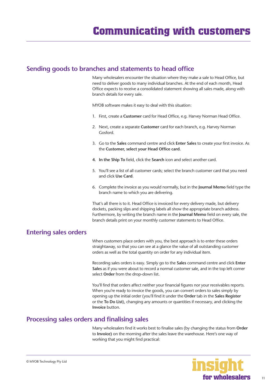# <span id="page-10-0"></span>**Sending goods to branches and statements to head office**

Many wholesalers encounter the situation where they make a sale to Head Office, but need to deliver goods to many individual branches. At the end of each month, Head Office expects to receive a consolidated statement showing all sales made, along with branch details for every sale.

MYOB software makes it easy to deal with this situation:

- 1. First, create a **Customer** card for Head Office, e.g. Harvey Norman Head Office.
- 2. Next, create a separate **Customer** card for each branch, e.g. Harvey Norman Gosford.
- 3. Go to the **Sales** command centre and click **Enter Sales** to create your first invoice. As the **Customer, select your Head Office card.**
- **4. In the Ship To** field, click the **Search** icon and select another card.
- 5. You'll see a list of all customer cards; select the branch customer card that you need and click **Use Card**.
- 6. Complete the invoice as you would normally, but in the **Journal Memo** field type the branch name to which you are delivering.

That's all there is to it. Head Office is invoiced for every delivery made, but delivery dockets, packing slips and shipping labels all show the appropriate branch address. Furthermore, by writing the branch name in the **Journal Memo** field on every sale, the branch details print on your monthly customer statements to Head Office.

## **Entering sales orders**

When customers place orders with you, the best approach is to enter these orders straightaway, so that you can see at a glance the value of all outstanding customer orders as well as the total quantity on order for any individual item.

Recording sales orders is easy. Simply go to the **Sales** command centre and click **Enter Sales** as if you were about to record a normal customer sale, and in the top left corner select **Order** from the drop-down list.

You'll find that orders affect neither your financial figures nor your receivables reports. When you're ready to invoice the goods, you can convert orders to sales simply by opening up the initial order (you'll find it under the **Order** tab in the **Sales Register** or the **To Do List**), changing any amounts or quantities if necessary, and clicking the **Invoice** button.

# **Processing sales orders and finalising sales**

Many wholesalers find it works best to finalise sales (by changing the status from **Order**  to **Invoice)** on the morning after the sales leave the warehouse. Here's one way of working that you might find practical:

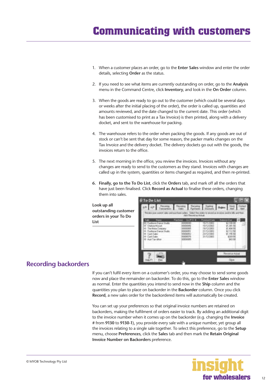- <span id="page-11-0"></span>1. When a customer places an order, go to the **Enter Sales** window and enter the order details, selecting **Order** as the status.
- 2. If you need to see what items are currently outstanding on order, go to the **Analysis**  menu in the Command Centre, click **Inventory**, and look in the **On Order** column.
- 3. When the goods are ready to go out to the customer (which could be several days or weeks after the initial placing of the order), the order is called up, quantities and amounts reviewed, and the date changed to the current date. This order (which has been customised to print as a Tax Invoice) is then printed, along with a delivery docket, and sent to the warehouse for packing.
- 4. The warehouse refers to the order when packing the goods. If any goods are out of stock or can't be sent that day for some reason, the packer marks changes on the Tax Invoice and the delivery docket. The delivery dockets go out with the goods, the invoices return to the office.
- 5. The next morning in the office, you review the invoices. Invoices without any changes are ready to send to the customers as they stand. Invoices with changes are called up in the system, quantities or items changed as required, and then re-printed.
- **6. Finally, go to the To Do List**, click the **Orders** tab, and mark off all the orders that have just been finalised. Click **Record as Actual** to finalise these orders, changing them into sales.

**Look up all outstanding customer orders in your To Do List**



# **Recording backorders**

If you can't fulfil every item on a customer's order, you may choose to send some goods now and place the remainder on backorder. To do this, go to the **Enter Sales** window as normal. Enter the quantities you intend to send now in the **Ship** column and the quantities you plan to place on backorder in the **Backorder** column. Once you click **Record**, a new sales order for the backordered items will automatically be created.

You can set up your preferences so that original invoice numbers are retained on backorders, making the fulfilment of orders easier to track. By adding an additional digit to the invoice number when it comes up on the backorder (e.g. changing the **Invoice #** from **9130** to **9130-1**), you provide every sale with a unique number, yet group all the invoices relating to a single sale together. To select this preference, go to the **Setup**  menu, choose **Preferences**, click the **Sales** tab and then mark the **Retain Original Invoice Number on Backorders** preference.

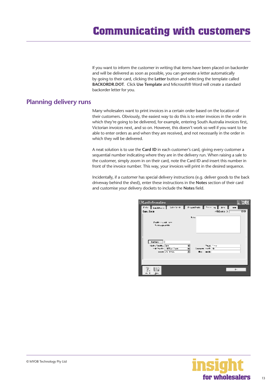If you want to inform the customer in writing that items have been placed on backorder and will be delivered as soon as possible, you can generate a letter automatically by going to their card, clicking the **Letter** button and selecting the template called **BACKORDR.DOT**. Click **Use Template** and Microsoft® Word will create a standard backorder letter for you.

## <span id="page-12-0"></span>**Planning delivery runs**

Many wholesalers want to print invoices in a certain order based on the location of their customers. Obviously, the easiest way to do this is to enter invoices in the order in which they're going to be delivered, for example, entering South Australia invoices first, Victorian invoices next, and so on. However, this doesn't work so well if you want to be able to enter orders as and when they are received, and not necessarily in the order in which they will be delivered.

A neat solution is to use the **Card ID** in each customer's card, giving every customer a sequential number indicating where they are in the delivery run. When raising a sale to the customer, simply zoom in on their card, note the Card ID and insert this number in front of the invoice number. This way, your invoices will print in the desired sequence.

Incidentally, if a customer has special delivery instructions (e.g. deliver goods to the back driveway behind the shed), enter these instructions in the **Notes** section of their card and customise your delivery dockets to include the **Notes** field.

| <b>Exactleformation</b><br>The substitute of the second state of the second control of the second state of the second state of the second<br>Еми. Босш |                  |                 | kfiErma ≯ [  | $\overline{DS}$ |
|--------------------------------------------------------------------------------------------------------------------------------------------------------|------------------|-----------------|--------------|-----------------|
| <b>Traffice conditions</b><br>Non-parties                                                                                                              | <b>K</b> 1-      |                 |              |                 |
| baker.<br>Holey Taylor, Can<br>state for the control of the control of<br><b>HURLER TWO</b>                                                            | Company with the | <b>Burna</b> rb | The Contract |                 |
| Jis                                                                                                                                                    |                  |                 |              | $\mathbf{I}$    |

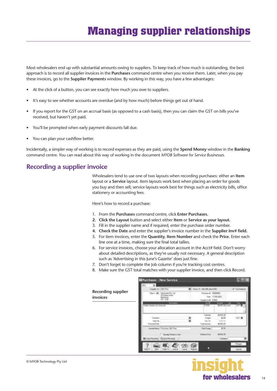# **Managing supplier relationships**

<span id="page-13-0"></span>Most wholesalers end up with substantial amounts owing to suppliers. To keep track of how much is outstanding, the best approach is to record all supplier invoices in the **Purchases** command centre when you receive them. Later, when you pay these invoices, go to the **Supplier Payments** window. By working in this way, you have a few advantages:

- At the click of a button, you can see exactly how much you owe to suppliers.
- It's easy to see whether accounts are overdue (and by how much) before things get out of hand.
- If you report for the GST on an accrual basis (as opposed to a cash basis), then you can claim the GST on bills you've received, but haven't yet paid.
- You'll be prompted when early payment discounts fall due.
- You can plan your cashflow better.

Incidentally, a simpler way of working is to record expenses as they are paid, using the **Spend Money** window in the **Banking**  command centre. You can read about this way of working in the document *MYOB Software for Service Businesses.*

# **Recording a supplier invoice**

Wholesalers tend to use one of two layouts when recording purchases: either an **Item**  layout or a **Service** layout. Item layouts work best when placing an order for goods you buy and then sell; service layouts work best for things such as electricity bills, office stationery or accounting fees.

Here's how to record a purchase:

- 1. From the **Purchases** command centre, click **Enter Purchases.**
- **2. Click the Layout** button and select either **Item** or **Service as your layout.**
- 3. Fill in the supplier name and if required, enter the purchase order number.
- **4. Check the Date** and enter the supplier's invoice number in the **Supplier Inv# field.**
- 5. For item invoices, enter the **Quantity**, **Item Number** and check the **Price.** Enter each line one at a time, making sure the final total tallies.
- 6. For service invoices, choose your allocation account in the Acct# field. Don't worry about detailed descriptions, as they're usually not necessary. A general description such as 'Advertising in this June's Gazette' does just fine.
- 7. Don't forget to complete the Job column if you're tracking cost centres.
- 8. Make sure the GST total matches with your supplier invoice, and then click Record.



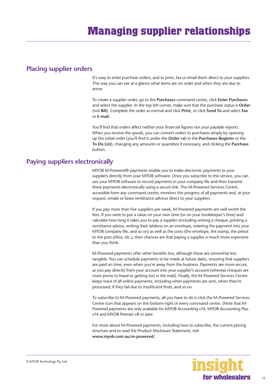# <span id="page-14-0"></span>**Placing supplier orders**

It's easy to enter purchase orders, and to print, fax or email them direct to your suppliers. This way you can see at a glance what items are on order and when they are due to arrive.

To create a supplier order, go to the **Purchases** command centre, click **Enter Purchases**  and select the supplier. In the top left corner, make sure that the purchase status is **Order** (not **Bill**). Complete the order as normal and click **Print**, or click **Send To** and select **Fax**  or **E-mail**.

You'll find that orders affect neither your financial figures nor your payable reports. When you receive the goods, you can convert orders to purchases simply by opening up the initial order (you'll find it under the **Order** tab in the **Purchases Register** or the **To Do List**), changing any amounts or quantities if necessary, and clicking the **Purchase**  button.

# **Paying suppliers electronically**

MYOB M-Powered® payments enable you to make electronic payments to your suppliers directly from your MYOB software. Once you subscribe to this service, you can use your MYOB software to record payments in your company file and then transmit these payments electronically using a secure link. The M-Powered Services Centre, accessible from any command centre, monitors the progress of all payments and, at your request, emails or faxes remittance advices direct to your suppliers.

If you pay more than five suppliers per week, M-Powered payments are well worth the fees. If you were to put a value on your own time (or on your bookkeeper's time) and calculate how long it takes you to pay a supplier (including writing a cheque, printing a remittance advice, writing their address on an envelope, entering the payment into your MYOB company file, and so on) as well as the costs (the envelope, the stamp, the petrol to the post office, etc.), then chances are that paying a supplier is much more expensive than you think.

M-Powered payments offer other benefits too, although these are somewhat less tangible. You can schedule payments to be made at future dates, ensuring that suppliers are paid on time, even when you're away from the business. Payments are more secure, as you pay directly from your account into your supplier's account (whereas cheques are more prone to fraud or getting lost in the mail). Finally, the M-Powered Services Centre keeps track of all online payments, including when payments are sent, when they're processed, if they fail due to insufficient finds, and so on.

To subscribe to M-Powered payments, all you have to do is click the M-Powered Services Centre icon that appears on the bottom-right of every command centre. (Note that M-Powered payments are only available for MYOB Accounting v14, MYOB Accounting Plus v14 and MYOB Premier v8 or later.

For more about M-Powered payments, including how to subscribe, the current pricing structure and to read the Product Disclosure Statement, visit **www.myob.com.au/m-powered/** .

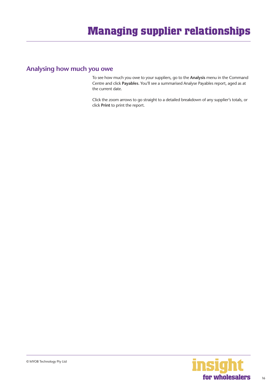# <span id="page-15-0"></span>**Analysing how much you owe**

To see how much you owe to your suppliers, go to the **Analysis** menu in the Command Centre and click **Payables**. You'll see a summarised Analyse Payables report, aged as at the current date.

Click the zoom arrows to go straight to a detailed breakdown of any supplier's totals, or click **Print** to print the report.

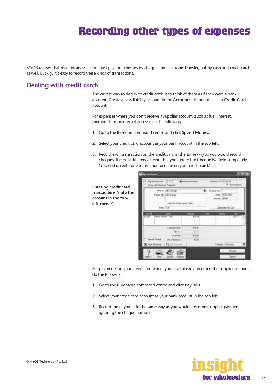# **Recording other types of expenses**

<span id="page-16-0"></span>MYOB realises that most businesses don't just pay for expenses by cheque and electronic transfer, but by cash and credit cards as well. Luckily, it's easy to record these kinds of transactions.

# **Dealing with credit cards**

The easiest way to deal with credit cards is to think of them as if they were a bank account. Create a new liability account in the **Accounts List** and make it a **Credit Card**  account.

For expenses where you don't receive a supplier account (such as fuel, interest, memberships or internet access), do the following:

- 1. Go to the **Banking** command centre and click **Spend Money.**
- 2. Select your credit card account as your bank account in the top left.
- 3. Record each transaction on the credit card in the same way as you would record cheques, the only difference being that you ignore the Cheque No field completely. (You end up with one transaction per line on your credit card.)

| Entering credit card   |
|------------------------|
| transactions (note the |
| account in the top-    |
| left corner)           |
|                        |

| <b>Fachmannan (2111)</b><br>Ensigt und Ziguttung: Pappanti                            | Winner David              | <b>Basico III 1236111</b><br><b>St Harmston</b>                     |
|---------------------------------------------------------------------------------------|---------------------------|---------------------------------------------------------------------|
| (etm.) (El Sango<br>Fore 36 HCGange<br><b>New York Date: we'll Class</b><br>Heart Tue |                           | <b>Cheast for 17</b><br>we (8/8.181)<br>well in an<br>Denem No Ltd. |
| <br><b>Huschisten-Fuel</b><br>25                                                      | ш<br>13.31                | œ<br>99                                                             |
| <b><i>ERAMANIAN</i></b><br>Each of 1<br>TotalTimit                                    | 188<br>$4.5 - 40$<br>4000 |                                                                     |
| <b>OL Luce Factoring  EQ.Lin.</b>                                                     |                           | <b>Emplo Diskular</b>                                               |

For payments on your credit card where you have already recorded the supplier account, do the following:

- 1. Go to the **Purchases** command centre and click **Pay Bills.**
- 2. Select your credit card account as your bank account in the top left.
- 3. Record the payment in the same way as you would any other supplier payment, ignoring the cheque number.

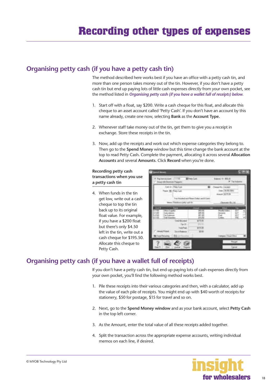# <span id="page-17-0"></span>**Organising petty cash (if you have a petty cash tin)**

The method described here works best if you have an office with a petty cash tin, and more than one person takes money out of the tin. However, if you don't have a petty cash tin but end up paying lots of little cash expenses directly from your own pocket, see the method listed in *Organising petty cash (if you have a wallet full of receipts) below*.

- 1. Start off with a float, say \$200. Write a cash cheque for this float, and allocate this cheque to an asset account called 'Petty Cash'. If you don't have an account by this name already, create one now, selecting **Bank** as the **Account Type.**
- 2. Whenever staff take money out of the tin, get them to give you a receipt in exchange. Store these receipts in the tin.
- 3. Now, add up the receipts and work out which expense categories they belong to. Then go to the **Spend Money** window but this time change the bank account at the top to read Petty Cash**.** Complete the payment, allocating it across several **Allocation Accounts** and several **Amounts**. Click **Record** when you're done.

#### **Recording petty cash transactions when you use a petty cash tin**

4. When funds in the tin get low, write out a cash cheque to top the tin back up to its original float value. For example, if you have a \$200 float but there's only \$4.50 left in the tin, write out a cash cheque for \$195.50. Allocate this cheque to Petty Cash.

| <b>CODE</b>                                                          | <b>Biney Can</b>                 | <b>Insura 4:185.20</b>                                      | Techniques |
|----------------------------------------------------------------------|----------------------------------|-------------------------------------------------------------|------------|
| <b>Gall At They Cam</b><br>Ford M. Feb Lat.<br>New Transaction and A | a Husbal and New Edit Les Editor | weekly Card<br>as North Area<br>$-111.5$<br><b>Scannell</b> |            |
|                                                                      |                                  | <b>STEP</b>                                                 |            |
| <b>KTH</b><br>A-Luxe                                                 | AG IS<br>精明<br>振晃<br>行30         | w                                                           | 固計研算       |
|                                                                      |                                  |                                                             |            |
| <b>Trainfied</b><br><b>Ikkuthama</b>                                 | <b>ATTLE</b><br>in an            |                                                             |            |
| <b>DO Test Finance : 312 cm</b>                                      |                                  | Department                                                  |            |

# **Organising petty cash (if you have a wallet full of receipts)**

If you don't have a petty cash tin, but end up paying lots of cash expenses directly from your own pocket, you'll find the following method works best.

- 1. Pile these receipts into their various categories and then, with a calculator, add up the value of each pile of receipts. You might end up with \$40 worth of receipts for stationery, \$50 for postage, \$15 for travel and so on.
- 2. Next, go to the **Spend Money window** and as your bank account, select **Petty Cash**  in the top left corner.
- 3. As the Amount, enter the total value of all these receipts added together.
- 4. Split the transaction across the appropriate expense accounts, writing individual memos on each line, if desired.

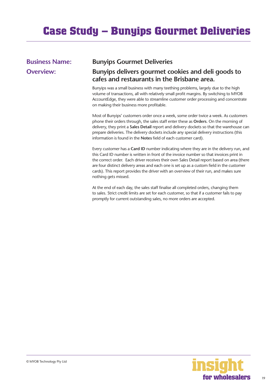# <span id="page-18-0"></span>**Business Name: Bunyips Gourmet Deliveries**

# **Overview: Bunyips delivers gourmet cookies and deli goods to cafes and restaurants in the Brisbane area.**

Bunyips was a small business with many teething problems, largely due to the high volume of transactions, all with relatively small profit margins. By switching to MYOB AccountEdge, they were able to streamline customer order processing and concentrate on making their business more profitable.

Most of Bunyips' customers order once a week, some order twice a week. As customers phone their orders through, the sales staff enter these as **Orders**. On the morning of delivery, they print a **Sales Detail** report and delivery dockets so that the warehouse can prepare deliveries. The delivery dockets include any special delivery instructions (this information is found in the **Notes** field of each customer card).

Every customer has a **Card ID** number indicating where they are in the delivery run, and this Card ID number is written in front of the invoice number so that invoices print in the correct order. Each driver receives their own Sales Detail report based on area (there are four distinct delivery areas and each one is set up as a custom field in the customer cards). This report provides the driver with an overview of their run, and makes sure nothing gets missed.

At the end of each day, the sales staff finalise all completed orders, changing them to sales. Strict credit limits are set for each customer, so that if a customer fails to pay promptly for current outstanding sales, no more orders are accepted.

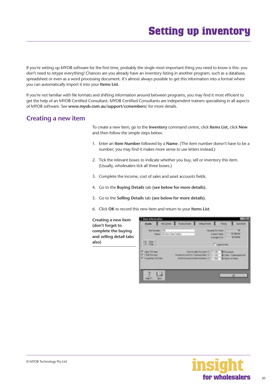<span id="page-19-0"></span>If you're setting up MYOB software for the first time, probably the single most important thing you need to know is this: you don't need to retype everything! Chances are you already have an inventory listing in another program, such as a database, spreadsheet or even as a word processing document. It's almost always possible to get this information into a format where you can automatically import it into your **Items List.**

If you're not familiar with file formats and shifting information around between programs, you may find it most efficient to get the help of an MYOB Certified Consultant. MYOB Certified Consultants are independent trainers specialising in all aspects of MYOB software. See **www.myob.com.au/support/ccmembers**/ for more details.

# **Creating a new item**

To create a new item, go to the **Inventory** command centre, click **Items List**, click **New** and then follow the simple steps below.

- 1. Enter an **Item Number** followed by a **Name**. (The item number doesn't have to be a number; you may find it makes more sense to use letters instead.)
- 2. Tick the relevant boxes to indicate whether you buy, sell or inventory this item. (Usually, wholesalers tick all three boxes.)
- 3. Complete the income, cost of sales and asset accounts fields.
- 4. Go to the **Buying Details** tab **(see below for more details).**
- 5. Go to the **Selling Details** tab **(see below for more details)**.
- 6. Click **OK** to record this new item and return to your **Items List**.

**Creating a new item (don't forget to complete the buying and selling detail tabs also)**



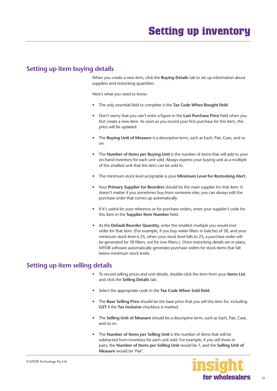# <span id="page-20-0"></span>**Setting up item buying details**

When you create a new item, click the **Buying Details** tab to set up information about suppliers and restocking quantities.

Here's what you need to know:

- The only essential field to complete is the **Tax Code When Bought field**.
- Don't worry that you can't enter a figure in the **Last Purchase Price** field when you first create a new item. As soon as you record your first purchase for this item, this price will be updated.
- The **Buying Unit of Measure** is a descriptive term, such as Each, Pair, Case, and so on.
- The **Number of Items per Buying Unit** is the number of items that will add to your on-hand inventory for each unit sold. Always express your buying unit as a multiple of the smallest unit that the item can be sold in.
- The minimum stock level acceptable is your **Minimum Level for Restocking Alert**.
- Your **Primary Supplier for Reorders** should be the main supplier for that item. It doesn't matter if you sometimes buy from someone else; you can always edit the purchase order that comes up automatically.
- If it's useful for your reference or for purchase orders, enter your supplier's code for this item in the **Supplier Item Number** field.
- As the **Default Reorder Quantity**, enter the smallest multiple you would ever order for that item. (For example, if you buy water filters in batches of 50, and your minimum stock level is 25, when your stock level falls to 23, a purchase order will be generated for 50 filters, not for two filters.) Once restocking details are in place, MYOB software automatically generates purchase orders for stock items that fall below minimum stock levels.

## **Setting up item selling details**

- To record selling prices and unit details, double-click the item from your **Items List** and click the **Selling Details** tab.
- Select the appropriate code in the **Tax Code When Sold field**.
- The **Base Selling Price** should be the base price that you sell this item for, including **GST** if the **Tax Inclusive** checkbox is marked.
- The **Selling Unit of Measure** should be a descriptive term, such as Each, Pair, Case, and so on.
- The **Number of Items per Selling Unit** is the number of items that will be subtracted from inventory for each unit sold. For example, if you sell shoes in pairs, the **Number of Items per Selling Unit** would be 1, and the **Selling Unit of Measure** would be 'Pair'.

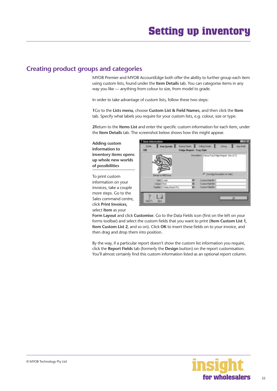# <span id="page-21-0"></span>**Creating product groups and categories**

MYOB Premier and MYOB AccountEdge both offer the ability to further group each item using custom lists, found under the **Item Details** tab. You can categorise items in any way you like — anything from colour to size, from model to grade.

In order to take advantage of custom lists, follow these two steps:

**1** Go to the **Lists menu**, choose **Custom List & Field Names**, and then click the **Item** tab. Specify what labels you require for your custom lists, e.g. colour, size or type.

**2** Return to the **Items List** and enter the specific custom information for each item, under the **Item Details** tab. The screenshot below shows how this might appear.

**Adding custom information to inventory items opens up whole new worlds of possibilities**

To print custom information on your invoices, take a couple more steps. Go to the Sales command centre, click **Print Invoices**, select **Item** as your

|                 | Delow Fog Fulge Higher, Sand    |  |
|-----------------|---------------------------------|--|
|                 | anna beann a                    |  |
| h an<br>$L = 1$ | $47$ min $23$<br>$m$ Floor $40$ |  |

**Form Layout** and click **Customise**. Go to the Data Fields icon (first on the left on your forms toolbar) and select the custom fields that you want to print (**Item Custom List 1**, **Item Custom List 2**, and so on). Click **OK** to insert these fields on to your invoice, and then drag and drop them into position.

By the way, if a particular report doesn't show the custom list information you require, click the **Report Fields** tab (formerly the **Design** button) on the report customisation. You'll almost certainly find this custom information listed as an optional report column.

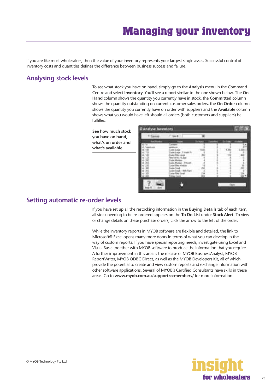<span id="page-22-0"></span>If you are like most wholesalers, then the value of your inventory represents your largest single asset. Successful control of inventory costs and quantities defines the difference between business success and failure.

# **Analysing stock levels**

To see what stock you have on hand, simply go to the **Analysis** menu in the Command Centre and select **Inventory**. You'll see a report similar to the one shown below. The **On Hand** column shows the quantity you currently have in stock, the **Committed** column shows the quantity outstanding on current customer sales orders, the **On Order** column shows the quantity you currently have on order with suppliers and the **Available** column shows what you would have left should all orders (both customers and suppliers) be fulfilled.

**See how much stock you have on hand, what's on order and what's available** 

| <b>THRAP</b> | Hin<br>٠ |  |  |
|--------------|----------|--|--|
|              |          |  |  |
|              |          |  |  |
|              |          |  |  |

# **Setting automatic re-order levels**

If you have set up all the restocking information in the **Buying Details** tab of each item, all stock needing to be re-ordered appears on the **To Do List** under **Stock Alert**. To view or change details on these purchase orders, click the arrow to the left of the order.

While the inventory reports in MYOB software are flexible and detailed, the link to Microsoft® Excel opens many more doors in terms of what you can develop in the way of custom reports. If you have special reporting needs, investigate using Excel and Visual Basic together with MYOB software to produce the information that you require. A further improvement in this area is the release of MYOB BusinessAnalyst, MYOB ReportWriter, MYOB ODBC Direct, as well as the MYOB Developers Kit, all of which provide the potential to create and view custom reports and exchange information with other software applications. Several of MYOB's Certified Consultants have skills in these areas. Go to **www.myob.com.au/support/ccmembers/** for more information.

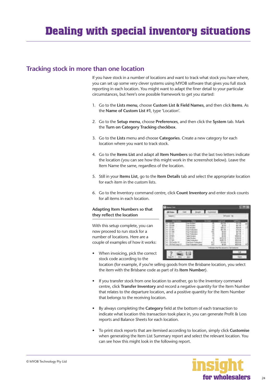# <span id="page-23-0"></span>**Tracking stock in more than one location**

If you have stock in a number of locations and want to track what stock you have where, you can set up some very clever systems using MYOB software that gives you full stock reporting in each location. You might want to adapt the finer detail to your particular circumstances, but here's one possible framework to get you started:

- 1. Go to the **Lists menu**, choose **Custom List & Field Names**, and then click **Items**. As the **Name of Custom List #1**, type 'Location'.
- 2. Go to the **Setup menu**, choose **Preferences**, and then click the **System** tab. Mark the **Turn on Category Tracking checkbox**.
- 3. Go to the **Lists** menu and choose **Categories**. Create a new category for each location where you want to track stock.
- 4. Go to the **Items List** and adapt all **Item Numbers** so that the last two letters indicate the location (you can see how this might work in the screenshot below). Leave the Item Name the same, regardless of the location.
- 5. Still in your **Items List**, go to the **Item Details** tab and select the appropriate location for each item in the custom lists.
- 6. Go to the Inventory command centre, click **Count Inventory** and enter stock counts for all items in each location.

#### **Adapting Item Numbers so that they reflect the location**

With this setup complete, you can now proceed to run stock for a number of locations. Here are a couple of examples of how it works:

- 
- When invoicing, pick the correct stock code according to the

location (for example, if you're selling goods from the Brisbane location, you select the item with the Brisbane code as part of its **Item Number**).

- If you transfer stock from one location to another, go to the Inventory command centre, click **Transfer Inventory** and record a negative quantity for the Item Number that relates to the departure location, and a positive quantity for the Item Number that belongs to the receiving location.
- By always completing the **Category** field at the bottom of each transaction to indicate what location this transaction took place in, you can generate Profit & Loss reports and Balance Sheets for each location.
- To print stock reports that are itemised according to location, simply click **Customise** when generating the Item List Summary report and select the relevant location. You can see how this might look in the following report.

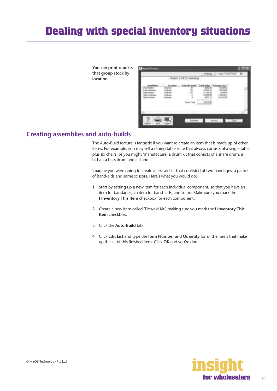# <span id="page-24-0"></span>**Dealing with special inventory situations**

**You can print report that group stock by location**

|  | (funs.com/(fummacy) | п<br>a. |  |
|--|---------------------|---------|--|
|  |                     |         |  |
|  |                     |         |  |

# **Creating assemblies and auto-builds**

The Auto-Build feature is fantastic if you want to create an item that is made up of other items. For example, you may sell a dining table suite that always consists of a single table plus six chairs, or you might 'manufacture' a drum kit that consists of a snare drum, a hi-hat, a bass drum and a stand.

Imagine you were going to create a first-aid kit that consisted of two bandages, a packet of band-aids and some scissors. Here's what you would do:

- 1. Start by setting up a new item for each individual component, so that you have an item for bandages, an item for band-aids, and so on. Make sure you mark the **I Inventory This Item** checkbox for each component.
- 2. Create a new item called 'First-aid Kit', making sure you mark the **I Inventory This Item** checkbox.
- 3. Click the **Auto-Build** tab.
- 4. Click **Edit List** and type the **Item Number** and **Quantity** for all the items that make up the kit of this finished item. Click **OK** and you're done.

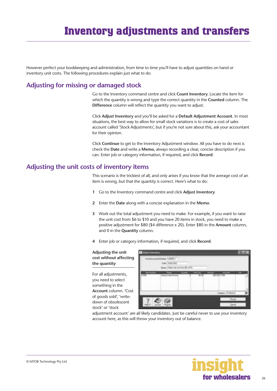# <span id="page-25-0"></span>**Inventory adjustments and transfers**

However perfect your bookkeeping and administration, from time to time you'll have to adjust quantities on hand or inventory unit costs. The following procedures explain just what to do.

# **Adjusting for missing or damaged stock**

Go to the Inventory command centre and click **Count Inventory.** Locate the item for which the quantity is wrong and type the correct quantity in the **Counted** column. The **Difference** column will reflect the quantity you want to adjust.

Click **Adjust Inventory** and you'll be asked for a **Default Adjustment Account**. In most situations, the best way to allow for small stock variations is to create a cost of sales account called 'Stock Adjustments', but if you're not sure about this, ask your accountant for their opinion.

Click **Continue** to get to the Inventory Adjustment window. All you have to do next is check the **Date** and write a **Memo**, always recording a clear, concise description if you can. Enter job or category information, if required, and click **Record**.

## **Adjusting the unit costs of inventory items**

This scenario is the trickiest of all, and only arises if you know that the average cost of an item is wrong, but that the quantity is correct. Here's what to do:

- **1** Go to the Inventory command centre and click **Adjust Inventory**.
- **2** Enter the **Date** along with a concise explanation in the **Memo**.
- **3** Work out the total adjustment you need to make. For example, if you want to raise the unit cost from \$6 to \$10 and you have 20 items in stock, you need to make a positive adjustment for \$80 (\$4 difference x 20). Enter \$80 in the **Amount** column, and 0 in the **Quantity** column.
- **4** Enter job or category information, if required, and click **Record**.

#### **Adjusting the unit cost without affecting the quantity**

For all adjustments, you need to select something in the **Account** column. 'Cost of goods sold', 'writedown of obsolescent stock' or 'stock

| <b>The Contract</b><br>Lad continue \$514 \$10.   |        |                          |  |
|---------------------------------------------------|--------|--------------------------|--|
| <b>MAY TH'REE</b><br>the property in the possible | and he | <b>Contract Contract</b> |  |
|                                                   |        |                          |  |

adjustment account' are all likely candidates. Just be careful never to use your inventory account here, as this will throw your inventory out of balance.

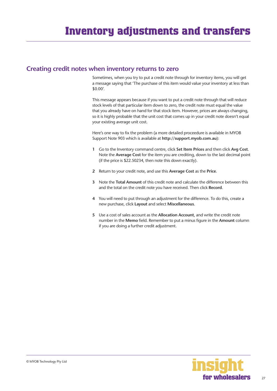# <span id="page-26-0"></span>**Creating credit notes when inventory returns to zero**

Sometimes, when you try to put a credit note through for inventory items, you will get a message saying that 'The purchase of this item would value your inventory at less than \$0.00'.

This message appears because if you want to put a credit note through that will reduce stock levels of that particular item down to zero, the credit note must equal the value that you already have on hand for that stock item. However, prices are always changing, so it is highly probable that the unit cost that comes up in your credit note doesn't equal your existing average unit cost.

Here's one way to fix the problem (a more detailed proceedure is available in MYOB Support Note 903 which is available at **http://support.myob.com.au**):

- **1** Go to the Inventory command centre, click **Set Item Prices** and then click **Avg Cost**. Note the **Average Cost** for the item you are crediting, down to the last decimal point (if the price is \$22.50234, then note this down exactly).
- **2** Return to your credit note, and use this **Average Cost** as the **Price**.
- **3** Note the **Total Amount** of this credit note and calculate the difference between this and the total on the credit note you have received. Then click **Record**.
- **4** You will need to put through an adjustment for the difference. To do this, create a new purchase, click **Layout** and select **Miscellaneous**.
- **5** Use a cost of sales account as the **Allocation Account**, and write the credit note number in the **Memo** field. Remember to put a minus figure in the **Amount** column if you are doing a further credit adjustment.

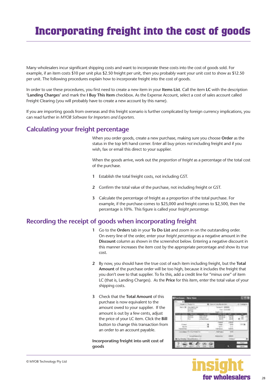# <span id="page-27-0"></span>**Incorporating freight into the cost of goods**

Many wholesalers incur significant shipping costs and want to incorporate these costs into the cost of goods sold. For example, if an item costs \$10 per unit plus \$2.50 freight per unit, then you probably want your unit cost to show as \$12.50 per unit. The following procedures explain how to incorporate freight into the cost of goods.

In order to use these procedures, you first need to create a new item in your **Items List**. Call the item **LC** with the description **'Landing Charges'** and mark the **I Buy This Item** checkbox**.** As the Expense Account, select a cost of sales account called Freight Clearing (you will probably have to create a new account by this name).

If you are importing goods from overseas and this freight scenario is further complicated by foreign currency implications, you can read further in *MYOB Software for Importers and Exporters.* 

# **Calculating your freight percentage**

When you order goods, create a new purchase, making sure you choose **Order** as the status in the top left hand corner. Enter all buy prices *not* including freight and if you wish, fax or email this direct to your supplier.

When the goods arrive, work out the *proportion of freight* as a percentage of the total cost of the purchase.

- **1** Establish the total freight costs, not including GST.
- **2** Confirm the total value of the purchase, not including freight or GST.
- **3** Calculate the percentage of freight as a proportion of the total purchase. For example, if the purchase comes to \$25,000 and freight comes to \$2,500, then the percentage is 10%. This figure is called your *freight percentage.*

## **Recording the receipt of goods when incorporating freight**

- **1** Go to the **Orders** tab in your **To Do List** and zoom in on the outstanding order. On every line of the order, enter your *freight percentage* as a negative amount in the **Discount** column as shown in the screenshot below. Entering a negative discount in this manner increases the item cost by the appropriate percentage and show its true cost.
- **2** By now, you should have the true cost of each item including freight, but the **Total Amount** of the purchase order will be too high, because it includes the freight that you don't owe to that supplier. To fix this, add a credit line for "minus one" of item LC (that is, Landing Charges). As the **Price** for this item, enter the total value of your shipping costs.
- **3** Check that the **Total Amount** of this purchase is now equivalent to the amount owed to your supplier. If the amount is out by a few cents, adjust the price of your LC item. Click the **Bill**  button to change this transaction from an order to an account payable.

**Incorporating freight into unit cost of goods**

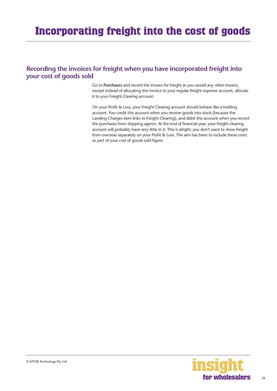# <span id="page-28-0"></span>**Incorporating freight into the cost of goods**

# **Recording the invoices for freight when you have incorporated freight into your cost of goods sold**

Go to **Purchases** and record the invoice for freight as you would any other invoice, except instead of allocating this invoice to your regular freight expense account, allocate it to your Freight Clearing account.

On your Profit & Loss, your Freight Clearing account should behave like a holding account. You credit this account when you receive goods into stock (because the Landing Charges item links to Freight Clearing), and debit this account when you record the purchases from shipping agents. At the end of financial year, your freight clearing account will probably have very little in it. This is alright; you don't want to show freight from overseas separately on your Profit & Loss. The aim has been to include these costs as part of your cost of goods sold figure.

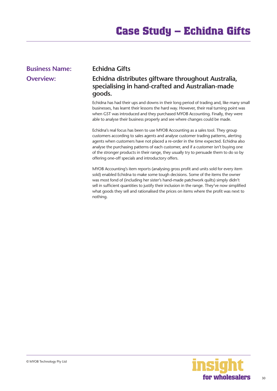# **Case Study – Echidna Gifts**

# <span id="page-29-0"></span>**Business Name: Echidna Gifts**

**Overview: Echidna distributes giftware throughout Australia, specialising in hand-crafted and Australian-made goods.**

> Echidna has had their ups and downs in their long period of trading and, like many small businesses, has learnt their lessons the hard way. However, their real turning point was when GST was introduced and they purchased MYOB Accounting. Finally, they were able to analyse their business properly and see where changes could be made.

Echidna's real focus has been to use MYOB Accounting as a sales tool. They group customers according to sales agents and analyse customer trading patterns, alerting agents when customers have not placed a re-order in the time expected. Echidna also analyse the purchasing patterns of each customer, and if a customer isn't buying one of the stronger products in their range, they usually try to persuade them to do so by offering one-off specials and introductory offers.

MYOB Accounting's item reports (analysing gross profit and units sold for every item sold) enabled Echidna to make some tough decisions. Some of the items the owner was most fond of (including her sister's hand-made patchwork quilts) simply didn't sell in sufficient quantities to justify their inclusion in the range. They've now simplified what goods they sell and rationalised the prices on items where the profit was next to nothing.

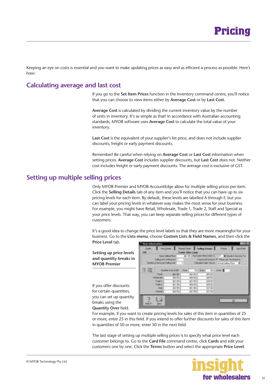<span id="page-30-0"></span>Keeping an eye on costs is essential and you want to make updating prices as easy and as efficient a process as possible. Here's how:

# **Calculating average and last cost**

If you go to the **Set Item Prices** function in the Inventory command centre, you'll notice that you can choose to view items either by **Average Cost** or by **Last Cost.**

**Average Cost** is calculated by dividing the current inventory value by the number of units in inventory. It's as simple as that! In accordance with Australian accounting standards, MYOB software uses **Average Cost** to calculate the total value of your inventory.

Last Cost is the equivalent of your supplier's list price, and does not include supplier discounts, freight or early payment discounts.

Remember! Be careful when relying on **Average Cost** or **Last Cost** information when setting prices. **Average Cost** includes supplier discounts, but **Last Cost** does not. Neither cost includes freight or early payment discounts. The average cost is exclusive of GST.

## **Setting up multiple selling prices**

Only MYOB Premier and MYOB AccountEdge allow for multiple selling prices per item. Click the **Selling Details** tab of any item and you'll notice that you can have up to six pricing levels for each item. By default, these levels are labelled A through F, but you can label your pricing levels in whatever way makes the most sense for your business. For example, you might have Retail, Wholesale, Trade 1, Trade 2, Staff and Special as your price levels. That way, you can keep separate selling prices for different types of customers.

It's a good idea to change the price level labels so that they are more meaningful for your business. Go to the **Lists menu**, choose **Custom Lists & Field Names**, and then click the **Price Level** tab.

**Setting up price levels and quantity breaks in MYOB Premier**

If you offer discounts for certain quantities, you can set up quantity breaks using the **Quantity Over** field.



For example, if you want to create pricing levels for sales of this item in quantities of 25 or more, enter 25 in this field. If you intend to offer further discounts for sales of this item in quantities of 50 or more, enter 50 in the next field.

The last stage of setting up multiple selling prices is to specify what price level each customer belongs to. Go to the **Card File** command centre, click **Cards** and edit your customers one by one. Click the **Terms** button and select the appropriate **Price Level**.

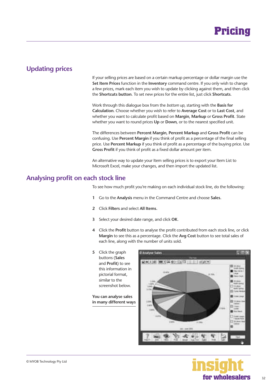# <span id="page-31-0"></span>**Updating prices**

If your selling prices are based on a certain markup percentage or dollar margin use the **Set Item Prices** function in the **Inventory** command centre. If you only wish to change a few prices, mark each item you wish to update by clicking against them, and then click the **Shortcuts button**. To set new prices for the entire list, just click **Shortcuts**.

Work through this dialogue box from the *bottom up*, starting with the **Basis for Calculation**. Choose whether you wish to refer to **Average Cost** or to **Last Cost**, and whether you want to calculate profit based on **Margin**, **Markup** or **Gross Profit**. State whether you want to round prices **Up** or **Down**, or to the nearest specified unit.

The differences between **Percent Margin**, **Percent Markup** and **Gross Profit** can be confusing. Use **Percent Margin** if you think of profit as a percentage of the final selling price. Use **Percent Markup** if you think of profit as a percentage of the buying price. Use **Gross Profit** if you think of profit as a fixed dollar amount per item.

An alternative way to update your Item selling prices is to export your Item List to Microsoft Excel, make your changes, and then import the updated list.

### **Analysing profit on each stock line**

To see how much profit you're making on each individual stock line, do the following:

- **1** Go to the **Analysis** menu in the Command Centre and choose **Sales.**
- **2** Click **Filters** and select **All Items.**
- **3** Select your desired date range, and click **OK**.
- **4** Click the **Profit** button to analyse the profit contributed from each stock line, or click **Margin** to see this as a percentage. Click the **Avg Cost** button to see total sales of each line, along with the number of units sold.
- **5** Click the graph buttons (**Sales**  and **Profit**) to see this information in pictorial format, similar to the screenshot below.

**You can analyse sales in many different ways**



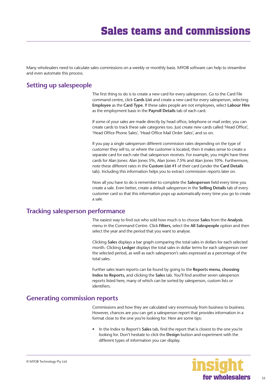<span id="page-32-0"></span>Many wholesalers need to calculate sales commissions on a weekly or monthly basis. MYOB software can help to streamline and even automate this process.

# **Setting up salespeople**

The first thing to do is to create a new card for every salesperson. Go to the Card File command centre, click **Cards List** and create a new card for every salesperson, selecting **Employee** as the **Card Type**. If these sales people are not employees, select **Labour Hire**  as the employment basis in the **Payroll Details** tab of each card.

If some of your sales are made directly by head office, telephone or mail order, you can create cards to track these sale categories too. Just create new cards called 'Head Office', 'Head Office Phone Sales', 'Head Office Mail Order Sales', and so on.

If you pay a single salesperson different commission rates depending on the type of customer they sell to, or where the customer is located, then it makes sense to create a separate card for each rate that salesperson receives. For example, you might have three cards for Alan Jones: Alan Jones 5%, Alan Jones 7.5% and Alan Jones 10%. Furthermore, note these different rates in the **Custom List #1** of their card (under the **Card Details**  tab). Including this information helps you to extract commission reports later on.

Now all you have to do is remember to complete the **Salesperson** field every time you create a sale. Even better, create a default salesperson in the **Selling Details** tab of every customer card so that this information pops up automatically every time you go to create a sale.

## **Tracking salesperson performance**

The easiest way to find out who sold how much is to choose **Sales** from the **Analysis**  menu in the Command Centre. Click **Filters,** select the **All Salespeople** option and then select the year and the period that you want to analyse.

Clicking **Sales** displays a bar graph comparing the total sales in dollars for each selected month. Clicking **Ledger** displays the total sales in dollar terms for each salesperson over the selected period, as well as each salesperson's sales expressed as a percentage of the total sales.

Further sales team reports can be found by going to the **Reports menu, choosing Index to Reports,** and clicking the **Sales** tab. You'll find another seven salesperson reports listed here, many of which can be sorted by salesperson, custom lists or identifiers.

## **Generating commission reports**

Commissions and how they are calculated vary enormously from business to business. However, chances are you can get a salesperson report that provides information in a format close to the one you're looking for. Here are some tips:

• In the Index to Report's **Sales** tab, find the report that is closest to the one you're looking for. Don't hesitate to click the **Design** button and experiment with the different types of information you can display.

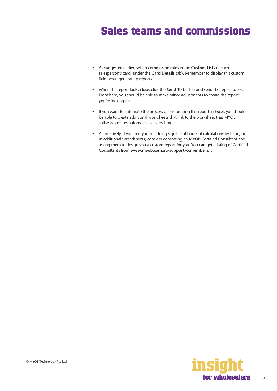- As suggested earlier, set up commission rates in the **Custom Lists** of each salesperson's card (under the **Card Details** tab). Remember to display this custom field when generating reports.
- When the report looks close, click the **Send To** button and send the report to Excel. From here, you should be able to make minor adjustments to create the report you're looking for.
- If you want to automate the process of customising this report in Excel, you should be able to create additional worksheets that link to the worksheet that MYOB software creates automatically every time.
- Alternatively, if you find yourself doing significant hours of calculations by hand, or in additional spreadsheets, consider contacting an MYOB Certified Consultant and asking them to design you a custom report for you. You can get a listing of Certified Consultants from **www.myob.com.au/support/ccmembers/ .**

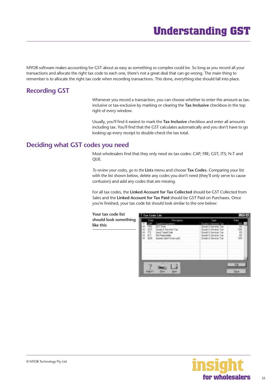<span id="page-34-0"></span>MYOB software makes accounting for GST about as easy as something so complex could be. So long as you record all your transactions and allocate the right tax code to each one, there's not a great deal that can go wrong. The main thing to remember is to allocate the right tax code when recording transactions. This done, everything else should fall into place.

# **Recording GST**

Whenever you record a transaction, you can choose whether to enter the amount as taxinclusive or tax-exclusive by marking or clearing the **Tax Inclusive** checkbox in the top right of every window.

Usually, you'll find it easiest to mark the **Tax Inclusive** checkbox and enter all amounts including tax. You'll find that the GST calculates automatically and you don't have to go looking up every receipt to double-check the tax total.

# **Deciding what GST codes you need**

Most wholesalers find that they only need six tax codes: CAP; FRE; GST; ITS; N-T and QUE.

*To review your codes, go to the* **Lists** menu and choose **Tax Codes**. Comparing your list with the list shown below, delete any codes you don't need (they'll only serve to cause confusion) and add any codes that are missing.

For all tax codes, the **Linked Account for Tax Collected** should be GST Collected from Sales and the **Linked Account for Tax Paid** should be GST Paid on Purchases. Once you're finished, your tax code list should look similar to the one below:

**Your tax code list should look something like this**



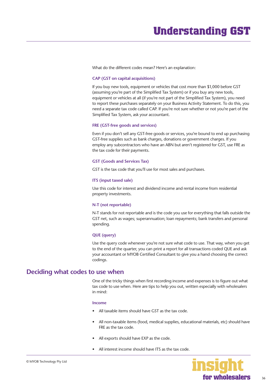<span id="page-35-0"></span>What do the different codes mean? Here's an explanation:

#### **CAP (GST on capital acquisitions)**

If you buy new tools, equipment or vehicles that cost more than \$1,000 before GST (assuming you're part of the Simplified Tax System) or if you buy any new tools, equipment or vehicles at all (if you're not part of the Simplified Tax System), you need to report these purchases separately on your Business Activity Statement. To do this, you need a separate tax code called CAP. If you're not sure whether or not you're part of the Simplified Tax System, ask your accountant.

#### **FRE (GST-free goods and services)**

Even if you don't sell any GST-free goods or services, you're bound to end up purchasing GST-free supplies such as bank charges, donations or government charges. If you employ any subcontractors who have an ABN but aren't registered for GST, use FRE as the tax code for their payments.

#### **GST (Goods and Services Tax)**

GST is the tax code that you'll use for most sales and purchases.

#### **ITS (input taxed sale)**

Use this code for interest and dividend income and rental income from residential property investments.

#### **N-T (not reportable)**

N-T stands for not reportable and is the code you use for everything that falls outside the GST net, such as wages; superannuation; loan repayments; bank transfers and personal spending.

#### **QUE (query)**

Use the query code whenever you're not sure what code to use. That way, when you get to the end of the quarter, you can print a report for all transactions coded QUE and ask your accountant or MYOB Certified Consultant to give you a hand choosing the correct codings.

### **Deciding what codes to use when**

One of the tricky things when first recording income and expenses is to figure out what tax code to use when. Here are tips to help you out, written especially with wholesalers in mind:

#### **Income**

- All taxable items should have GST as the tax code.
- All non-taxable items (food, medical supplies, educational materials, etc) should have FRE as the tax code.
- All exports should have EXP as the code.
- All interest income should have ITS as the tax code.

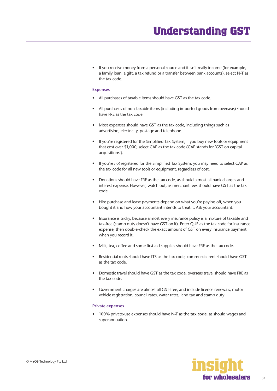If you receive money from a personal source and it isn't really income (for example, a family loan, a gift, a tax refund or a transfer between bank accounts), select N-T as the tax code.

#### **Expenses**

- All purchases of taxable items should have GST as the tax code.
- All purchases of non-taxable items (including imported goods from overseas) should have FRE as the tax code.
- Most expenses should have GST as the tax code, including things such as advertising, electricity, postage and telephone.
- If you're registered for the Simplified Tax System, if you buy new tools or equipment that cost over \$1,000, select CAP as the tax code (CAP stands for 'GST on capital acquisitions').
- If you're *not* registered for the Simplified Tax System, you may need to select CAP as the tax code for all new tools or equipment, regardless of cost.
- Donations should have FRE as the tax code, as should almost all bank charges and interest expense. However, watch out, as merchant fees should have GST as the tax code.
- Hire purchase and lease payments depend on what you're paying off, when you bought it and how your accountant intends to treat it. Ask your accountant.
- Insurance is tricky, because almost every insurance policy is a mixture of taxable and tax-free (stamp duty doesn't have GST on it). Enter QUE as the tax code for insurance expense, then double-check the exact amount of GST on every insurance payment when you record it.
- Milk, tea, coffee and some first aid supplies should have FRE as the tax code.
- Residential rents should have ITS as the tax code, commercial rent should have GST as the tax code.
- Domestic travel should have GST as the tax code, overseas travel should have FRE as the tax code.
- Government charges are almost all GST-free, and include licence renewals, motor vehicle registration, council rates, water rates, land tax and stamp duty

#### **Private expenses**

• 100% private-use expenses should have N-T as the **tax code**, as should wages and superannuation.